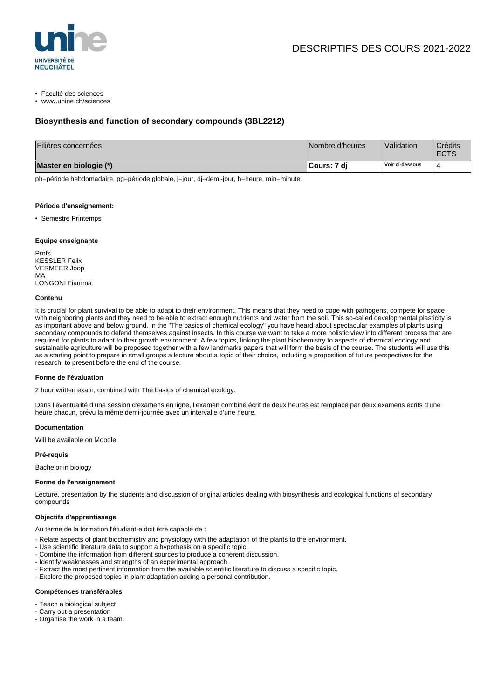

• Faculté des sciences

• www.unine.ch/sciences

## **Biosynthesis and function of secondary compounds (3BL2212)**

| Filières concernées    | Nombre d'heures | Validation      | <sup>'</sup> Crédits<br><b>ECTS</b> |
|------------------------|-----------------|-----------------|-------------------------------------|
| Master en biologie (*) | ⊺Cours: 7 di    | Voir ci-dessous |                                     |

ph=période hebdomadaire, pg=période globale, j=jour, dj=demi-jour, h=heure, min=minute

### **Période d'enseignement:**

• Semestre Printemps

## **Equipe enseignante**

Profs KESSLER Felix VERMEER Joop MA LONGONI Fiamma

#### **Contenu**

It is crucial for plant survival to be able to adapt to their environment. This means that they need to cope with pathogens, compete for space with neighboring plants and they need to be able to extract enough nutrients and water from the soil. This so-called developmental plasticity is as important above and below ground. In the "The basics of chemical ecology" you have heard about spectacular examples of plants using secondary compounds to defend themselves against insects. In this course we want to take a more holistic view into different process that are required for plants to adapt to their growth environment. A few topics, linking the plant biochemistry to aspects of chemical ecology and sustainable agriculture will be proposed together with a few landmarks papers that will form the basis of the course. The students will use this as a starting point to prepare in small groups a lecture about a topic of their choice, including a proposition of future perspectives for the research, to present before the end of the course.

## **Forme de l'évaluation**

2 hour written exam, combined with The basics of chemical ecology.

Dans l'éventualité d'une session d'examens en ligne, l'examen combiné écrit de deux heures est remplacé par deux examens écrits d'une heure chacun, prévu la même demi-journée avec un intervalle d'une heure.

#### **Documentation**

Will be available on Moodle

**Pré-requis**

Bachelor in biology

## **Forme de l'enseignement**

Lecture, presentation by the students and discussion of original articles dealing with biosynthesis and ecological functions of secondary compounds

#### **Objectifs d'apprentissage**

Au terme de la formation l'étudiant-e doit être capable de :

- Relate aspects of plant biochemistry and physiology with the adaptation of the plants to the environment.
- Use scientific literature data to support a hypothesis on a specific topic.
- Combine the information from different sources to produce a coherent discussion.
- Identify weaknesses and strengths of an experimental approach.
- Extract the most pertinent information from the available scientific literature to discuss a specific topic.
- Explore the proposed topics in plant adaptation adding a personal contribution.

#### **Compétences transférables**

- Teach a biological subject
- Carry out a presentation
- Organise the work in a team.